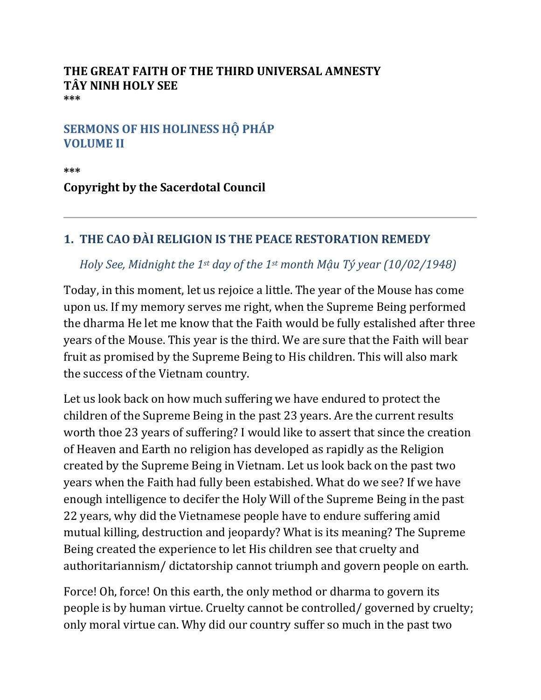## **THE GREAT FAITH OF THE THIRD UNIVERSAL AMNESTY TÂY NINH HOLY SEE \*\*\***

## **SERMONS OF HIS HOLINESS HỘ PHÁP VOLUME II**

**\*\*\***

**Copyright by the Sacerdotal Council**

## **1. THE CAO ĐÀI RELIGION IS THE PEACE RESTORATION REMEDY**

## *Holy See, Midnight the 1st day of the 1st month Mậu Tý year (10/02/1948)*

Today, in this moment, let us rejoice a little. The year of the Mouse has come upon us. If my memory serves me right, when the Supreme Being performed the dharma He let me know that the Faith would be fully estalished after three years of the Mouse. This year is the third. We are sure that the Faith will bear fruit as promised by the Supreme Being to His children. This will also mark the success of the Vietnam country.

Let us look back on how much suffering we have endured to protect the children of the Supreme Being in the past 23 years. Are the current results worth thoe 23 years of suffering? I would like to assert that since the creation of Heaven and Earth no religion has developed as rapidly as the Religion created by the Supreme Being in Vietnam. Let us look back on the past two years when the Faith had fully been estabished. What do we see? If we have enough intelligence to decifer the Holy Will of the Supreme Being in the past 22 years, why did the Vietnamese people have to endure suffering amid mutual killing, destruction and jeopardy? What is its meaning? The Supreme Being created the experience to let His children see that cruelty and authoritariannism/ dictatorship cannot triumph and govern people on earth.

Force! Oh, force! On this earth, the only method or dharma to govern its people is by human virtue. Cruelty cannot be controlled/ governed by cruelty; only moral virtue can. Why did our country suffer so much in the past two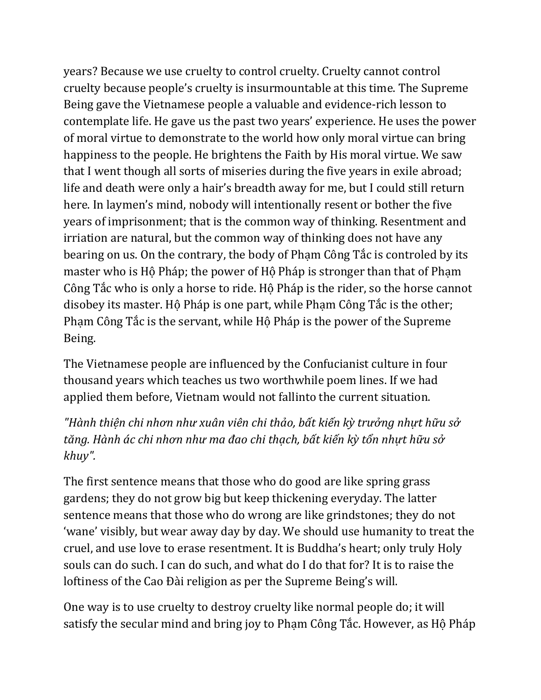years? Because we use cruelty to control cruelty. Cruelty cannot control cruelty because people's cruelty is insurmountable at this time. The Supreme Being gave the Vietnamese people a valuable and evidence-rich lesson to contemplate life. He gave us the past two years' experience. He uses the power of moral virtue to demonstrate to the world how only moral virtue can bring happiness to the people. He brightens the Faith by His moral virtue. We saw that I went though all sorts of miseries during the five years in exile abroad; life and death were only a hair's breadth away for me, but I could still return here. In laymen's mind, nobody will intentionally resent or bother the five years of imprisonment; that is the common way of thinking. Resentment and irriation are natural, but the common way of thinking does not have any bearing on us. On the contrary, the body of Phạm Công Tắc is controled by its master who is Hộ Pháp; the power of Hộ Pháp is stronger than that of Phạm Công Tắc who is only a horse to ride. Hộ Pháp is the rider, so the horse cannot disobey its master. Hộ Pháp is one part, while Phạm Công Tắc is the other; Phạm Công Tắc is the servant, while Hộ Pháp is the power of the Supreme Being.

The Vietnamese people are influenced by the Confucianist culture in four thousand years which teaches us two worthwhile poem lines. If we had applied them before, Vietnam would not fallinto the current situation.

*"Hành thiện chi nhơn như xuân viên chi thảo, bất kiến kỳ trưởng nhựt hữu sở tăng. Hành ác chi nhơn như ma đao chi thạch, bất kiến kỳ tổn nhựt hữu sở khuy".*

The first sentence means that those who do good are like spring grass gardens; they do not grow big but keep thickening everyday. The latter sentence means that those who do wrong are like grindstones; they do not 'wane' visibly, but wear away day by day. We should use humanity to treat the cruel, and use love to erase resentment. It is Buddha's heart; only truly Holy souls can do such. I can do such, and what do I do that for? It is to raise the loftiness of the Cao Đài religion as per the Supreme Being's will.

One way is to use cruelty to destroy cruelty like normal people do; it will satisfy the secular mind and bring joy to Phạm Công Tắc. However, as Hộ Pháp